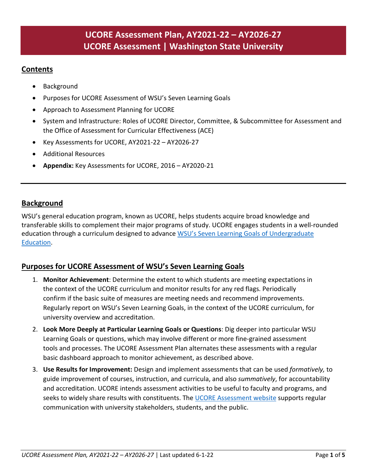# **UCORE Assessment Plan, AY2021-22 – AY2026-27 UCORE Assessment | Washington State University**

## **Contents**

- **Background**
- Purposes for UCORE Assessment of WSU's Seven Learning Goals
- Approach to Assessment Planning for UCORE
- System and Infrastructure: Roles of UCORE Director, Committee, & Subcommittee for Assessment and the Office of Assessment for Curricular Effectiveness (ACE)
- Key Assessments for UCORE, AY2021-22 AY2026-27
- Additional Resources
- **Appendix:** Key Assessments for UCORE, 2016 AY2020-21

## **Background**

WSU's general education program, known as UCORE, helps students acquire broad knowledge and transferable skills to complement their major programs of study. UCORE engages students in a well-rounded education through a curriculum designed to advance WSU's Seven Learning Goals of Undergraduate [Education.](https://ucore.wsu.edu/assessment/learning-goals/)

### **Purposes for UCORE Assessment of WSU's Seven Learning Goals**

- 1. **Monitor Achievement**: Determine the extent to which students are meeting expectations in the context of the UCORE curriculum and monitor results for any red flags. Periodically confirm if the basic suite of measures are meeting needs and recommend improvements. Regularly report on WSU's Seven Learning Goals, in the context of the UCORE curriculum, for university overview and accreditation.
- 2. **Look More Deeply at Particular Learning Goals or Questions**: Dig deeper into particular WSU Learning Goals or questions, which may involve different or more fine-grained assessment tools and processes. The UCORE Assessment Plan alternates these assessments with a regular basic dashboard approach to monitor achievement, as described above.
- 3. **Use Results for Improvement:** Design and implement assessments that can be used *formatively,* to guide improvement of courses, instruction, and curricula, and also *summatively*, for accountability and accreditation. UCORE intends assessment activities to be useful to faculty and programs, and seeks to widely share results with constituents. The [UCORE Assessment website](https://ucore.wsu.edu/assessment/) supports regular communication with university stakeholders, students, and the public.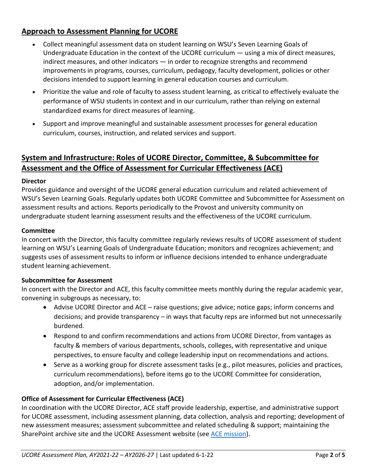# **Approach to Assessment Planning for UCORE**

- Collect meaningful assessment data on student learning on WSU's Seven Learning Goals of Undergraduate Education in the context of the UCORE curriculum — using a mix of direct measures, indirect measures, and other indicators — in order to recognize strengths and recommend improvements in programs, courses, curriculum, pedagogy, faculty development, policies or other decisions intended to support learning in general education courses and curriculum.
- Prioritize the value and role of faculty to assess student learning, as critical to effectively evaluate the performance of WSU students in context and in our curriculum, rather than relying on external standardized exams for direct measures of learning.
- Support and improve meaningful and sustainable assessment processes for general education curriculum, courses, instruction, and related services and support.

# **System and Infrastructure: Roles of UCORE Director, Committee, & Subcommittee for Assessment and the Office of Assessment for Curricular Effectiveness (ACE)**

#### **Director**

Provides guidance and oversight of the UCORE general education curriculum and related achievement of WSU's Seven Learning Goals. Regularly updates both UCORE Committee and Subcommittee for Assessment on assessment results and actions. Reports periodically to the Provost and university community on undergraduate student learning assessment results and the effectiveness of the UCORE curriculum.

#### **Committee**

In concert with the Director, this faculty committee regularly reviews results of UCORE assessment of student learning on WSU's Learning Goals of Undergraduate Education; monitors and recognizes achievement; and suggests uses of assessment results to inform or influence decisions intended to enhance undergraduate student learning achievement.

#### **Subcommittee for Assessment**

In concert with the Director and ACE, this faculty committee meets monthly during the regular academic year, convening in subgroups as necessary, to:

- Advise UCORE Director and ACE raise questions; give advice; notice gaps; inform concerns and decisions; and provide transparency – in ways that faculty reps are informed but not unnecessarily burdened.
- Respond to and confirm recommendations and actions from UCORE Director, from vantages as faculty & members of various departments, schools, colleges, with representative and unique perspectives, to ensure faculty and college leadership input on recommendations and actions.
- Serve as a working group for discrete assessment tasks (e.g., pilot measures, policies and practices, curriculum recommendations), before items go to the UCORE Committee for consideration, adoption, and/or implementation.

### **Office of Assessment for Curricular Effectiveness (ACE)**

In coordination with the UCORE Director, ACE staff provide leadership, expertise, and administrative support for UCORE assessment, including assessment planning, data collection, analysis and reporting; development of new assessment measures; assessment subcommittee and related scheduling & support; maintaining the SharePoint archive site and the UCORE Assessment website (see [ACE mission\)](https://ace.wsu.edu/about-us/what-we-do/).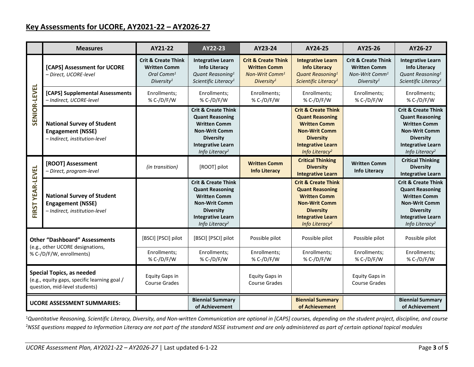#### **Key Assessments for UCORE, AY2021-22 – AY2026-27**

|                                                                                                                   | <b>Measures</b>                                                                                | AY21-22                                                                                           | AY22-23                                                                                                                                                                               | AY23-24                                                                                                       | AY24-25                                                                                                                                                                               | AY25-26                                                                                                       | AY26-27                                                                                                                                                                               |
|-------------------------------------------------------------------------------------------------------------------|------------------------------------------------------------------------------------------------|---------------------------------------------------------------------------------------------------|---------------------------------------------------------------------------------------------------------------------------------------------------------------------------------------|---------------------------------------------------------------------------------------------------------------|---------------------------------------------------------------------------------------------------------------------------------------------------------------------------------------|---------------------------------------------------------------------------------------------------------------|---------------------------------------------------------------------------------------------------------------------------------------------------------------------------------------|
| <b>SENIOR-LEVEL</b>                                                                                               | [CAPS] Assessment for UCORE<br>- Direct, UCORE-level                                           | <b>Crit &amp; Create Think</b><br><b>Written Comm</b><br>Oral Comm $^1$<br>Diversity <sup>1</sup> | <b>Integrative Learn</b><br><b>Info Literacy</b><br>Quant Reasoning <sup>1</sup><br>Scientific Literacy <sup>1</sup>                                                                  | <b>Crit &amp; Create Think</b><br><b>Written Comm</b><br>Non-Writ Comm <sup>1</sup><br>Diversity <sup>1</sup> | <b>Integrative Learn</b><br><b>Info Literacy</b><br>Quant Reasoning <sup>1</sup><br>Scientific Literacy <sup>1</sup>                                                                  | <b>Crit &amp; Create Think</b><br><b>Written Comm</b><br>Non-Writ Comm <sup>1</sup><br>Diversity <sup>1</sup> | <b>Integrative Learn</b><br><b>Info Literacy</b><br>Quant Reasoning <sup>1</sup><br>Scientific Literacy <sup>1</sup>                                                                  |
|                                                                                                                   | [CAPS] Supplemental Assessments<br>- Indirect, UCORE-level                                     | Enrollments;<br>% C-/D/F/W                                                                        | Enrollments;<br>% C-/D/F/W                                                                                                                                                            | Enrollments;<br>% C-/D/F/W                                                                                    | Enrollments;<br>% C-/D/F/W                                                                                                                                                            | Enrollments;<br>% C-/D/F/W                                                                                    | Enrollments;<br>% C-/D/F/W                                                                                                                                                            |
|                                                                                                                   | <b>National Survey of Student</b><br><b>Engagement (NSSE)</b><br>- Indirect, institution-level |                                                                                                   | <b>Crit &amp; Create Think</b><br><b>Quant Reasoning</b><br><b>Written Comm</b><br><b>Non-Writ Comm</b><br><b>Diversity</b><br><b>Integrative Learn</b><br>Info Literacy <sup>2</sup> |                                                                                                               | <b>Crit &amp; Create Think</b><br><b>Quant Reasoning</b><br><b>Written Comm</b><br><b>Non-Writ Comm</b><br><b>Diversity</b><br><b>Integrative Learn</b><br>Info Literacy <sup>2</sup> |                                                                                                               | <b>Crit &amp; Create Think</b><br><b>Quant Reasoning</b><br><b>Written Comm</b><br><b>Non-Writ Comm</b><br><b>Diversity</b><br><b>Integrative Learn</b><br>Info Literacy <sup>2</sup> |
| FIRST YEAR-LEVEL                                                                                                  | [ROOT] Assessment<br>- Direct, program-level                                                   | (in transition)                                                                                   | [ROOT] pilot                                                                                                                                                                          | <b>Written Comm</b><br><b>Info Literacy</b>                                                                   | <b>Critical Thinking</b><br><b>Diversity</b><br><b>Integrative Learn</b>                                                                                                              | <b>Written Comm</b><br><b>Info Literacy</b>                                                                   | <b>Critical Thinking</b><br><b>Diversity</b><br><b>Integrative Learn</b>                                                                                                              |
|                                                                                                                   | <b>National Survey of Student</b><br><b>Engagement (NSSE)</b><br>- Indirect, institution-level |                                                                                                   | <b>Crit &amp; Create Think</b><br><b>Quant Reasoning</b><br><b>Written Comm</b><br><b>Non-Writ Comm</b><br><b>Diversity</b><br><b>Integrative Learn</b><br>Info Literacy <sup>2</sup> |                                                                                                               | <b>Crit &amp; Create Think</b><br><b>Quant Reasoning</b><br><b>Written Comm</b><br><b>Non-Writ Comm</b><br><b>Diversity</b><br><b>Integrative Learn</b><br>Info Literacy <sup>2</sup> |                                                                                                               | <b>Crit &amp; Create Think</b><br><b>Quant Reasoning</b><br><b>Written Comm</b><br><b>Non-Writ Comm</b><br><b>Diversity</b><br><b>Integrative Learn</b><br>Info Literacy <sup>2</sup> |
| <b>Other "Dashboard" Assessments</b><br>(e.g., other UCORE designations,<br>% C-/D/F/W, enrollments)              |                                                                                                | [BSCI] [PSCI] pilot                                                                               | [BSCI] [PSCI] pilot                                                                                                                                                                   | Possible pilot                                                                                                | Possible pilot                                                                                                                                                                        | Possible pilot                                                                                                | Possible pilot                                                                                                                                                                        |
|                                                                                                                   |                                                                                                | Enrollments;<br>% C-/D/F/W                                                                        | Enrollments;<br>% C-/D/F/W                                                                                                                                                            | Enrollments;<br>% C-/D/F/W                                                                                    | Enrollments;<br>% C-/D/F/W                                                                                                                                                            | Enrollments;<br>% C-/D/F/W                                                                                    | Enrollments;<br>% C-/D/F/W                                                                                                                                                            |
| <b>Special Topics, as needed</b><br>(e.g., equity gaps, specific learning goal /<br>question, mid-level students) |                                                                                                | <b>Equity Gaps in</b><br><b>Course Grades</b>                                                     |                                                                                                                                                                                       | <b>Equity Gaps in</b><br><b>Course Grades</b>                                                                 |                                                                                                                                                                                       | <b>Equity Gaps in</b><br><b>Course Grades</b>                                                                 |                                                                                                                                                                                       |
| <b>UCORE ASSESSMENT SUMMARIES:</b>                                                                                |                                                                                                |                                                                                                   | <b>Biennial Summary</b><br>of Achievement                                                                                                                                             |                                                                                                               | <b>Biennial Summary</b><br>of Achievement                                                                                                                                             |                                                                                                               | <b>Biennial Summary</b><br>of Achievement                                                                                                                                             |

1 *Quantitative Reasoning, Scientific Literacy, Diversity, and Non-written Communication are optional in [CAPS] courses, depending on the student project, discipline, and course* 2 *NSSE questions mapped to Information Literacy are not part of the standard NSSE instrument and are only administered as part of certain optional topical modules*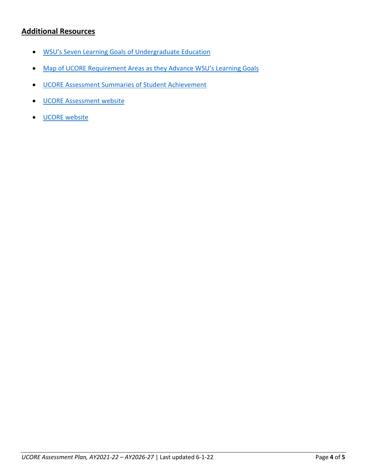# **Additional Resources**

- [WSU's Seven Learning Goals of Undergraduate Education](https://ucore.wsu.edu/assessment/learning-goals/)
- [Map of UCORE Requirement Areas as](https://ucore.wsu.edu/assessment/documents/2017/04/map_ucore-requirements-and-7-learning-goals.pdf/) they Advance WSU's Learning Goals
- [UCORE Assessment Summaries of Student Achievement](https://ucore.wsu.edu/assessment/ucore-assessment-summaries/)
- [UCORE Assessment website](https://ucore.wsu.edu/assessment/)
- [UCORE website](https://ucore.wsu.edu/)